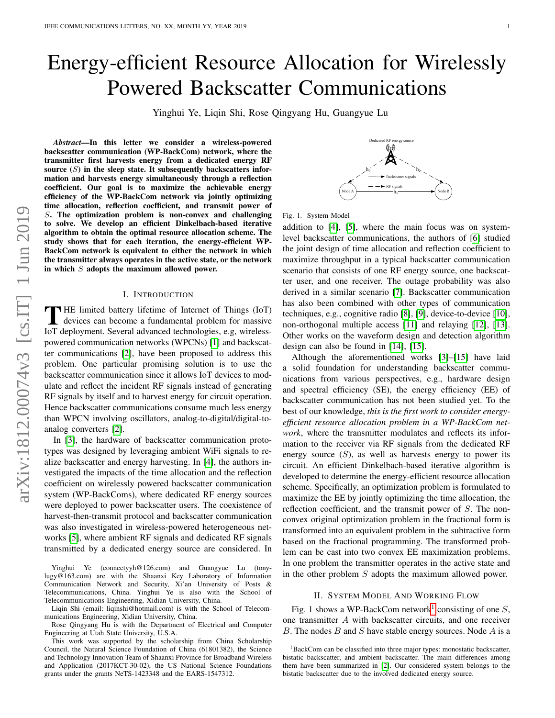# Energy-efficient Resource Allocation for Wirelessly Powered Backscatter Communications

Yinghui Ye, Liqin Shi, Rose Qingyang Hu, Guangyue Lu

*Abstract*—In this letter we consider a wireless-powered backscatter communication (WP-BackCom) network, where the transmitter first harvests energy from a dedicated energy RF source  $(S)$  in the sleep state. It subsequently backscatters information and harvests energy simultaneously through a reflection coefficient. Our goal is to maximize the achievable energy efficiency of the WP-BackCom network via jointly optimizing time allocation, reflection coefficient, and transmit power of S. The optimization problem is non-convex and challenging to solve. We develop an efficient Dinkelbach-based iterative algorithm to obtain the optimal resource allocation scheme. The study shows that for each iteration, the energy-efficient WP-BackCom network is equivalent to either the network in which the transmitter always operates in the active state, or the network in which  $S$  adopts the maximum allowed power.

# I. INTRODUCTION

THE limited battery lifetime of Internet of Things (IoT) devices can become a fundamental problem for massive IoT deployment. Several advanced technologies, e.g, wireless-HE limited battery lifetime of Internet of Things (IoT) devices can become a fundamental problem for massive powered communication networks (WPCNs) [\[1\]](#page-3-0) and backscatter communications [\[2\]](#page-3-1), have been proposed to address this problem. One particular promising solution is to use the backscatter communication since it allows IoT devices to modulate and reflect the incident RF signals instead of generating RF signals by itself and to harvest energy for circuit operation. Hence backscatter communications consume much less energy than WPCN involving oscillators, analog-to-digital/digital-toanalog converters [\[2\]](#page-3-1).

In [\[3\]](#page-3-2), the hardware of backscatter communication prototypes was designed by leveraging ambient WiFi signals to realize backscatter and energy harvesting. In [\[4\]](#page-3-3), the authors investigated the impacts of the time allocation and the reflection coefficient on wirelessly powered backscatter communication system (WP-BackComs), where dedicated RF energy sources were deployed to power backscatter users. The coexistence of harvest-then-transmit protocol and backscatter communication was also investigated in wireless-powered heterogeneous networks [\[5\]](#page-3-4), where ambient RF signals and dedicated RF signals transmitted by a dedicated energy source are considered. In

Yinghui Ye (connectyyh@126.com) and Guangyue Lu (tonylugy@163.com) are with the Shaanxi Key Laboratory of Information Communication Network and Security, Xi'an University of Posts & Telecommunications, China. Yinghui Ye is also with the School of Telecommunications Engineering, Xidian University, China.

Liqin Shi (email: liqinshi@hotmail.com) is with the School of Telecommunications Engineering, Xidian University, China.

Rose Qingyang Hu is with the Department of Electrical and Computer Engineering at Utah State University, U.S.A.

This work was supported by the scholarship from China Scholarship Council, the Natural Science Foundation of China (61801382), the Science and Technology Innovation Team of Shaanxi Province for Broadband Wireless and Application (2017KCT-30-02), the US National Science Foundations grants under the grants NeTS-1423348 and the EARS-1547312.

rgy s ((:))  $h_0$  $h_2$ . Backscatter signals RF signals Node A  $\longrightarrow$  Node B  $h_1$ –

|  |  |  | Fig. 1. System Model |  |
|--|--|--|----------------------|--|
|--|--|--|----------------------|--|

addition to [\[4\]](#page-3-3), [\[5\]](#page-3-4), where the main focus was on systemlevel backscatter communications, the authors of [\[6\]](#page-3-5) studied the joint design of time allocation and reflection coefficient to maximize throughput in a typical backscatter communication scenario that consists of one RF energy source, one backscatter user, and one receiver. The outage probability was also derived in a similar scenario [\[7\]](#page-3-6). Backscatter communication has also been combined with other types of communication techniques, e.g., cognitive radio [\[8\]](#page-3-7), [\[9\]](#page-3-8), device-to-device [\[10\]](#page-3-9), non-orthogonal multiple access [\[11\]](#page-3-10) and relaying [\[12\]](#page-4-0), [\[13\]](#page-4-1). Other works on the waveform design and detection algorithm design can also be found in [\[14\]](#page-4-2), [\[15\]](#page-4-3).

Although the aforementioned works [\[3\]](#page-3-2)–[\[15\]](#page-4-3) have laid a solid foundation for understanding backscatter communications from various perspectives, e.g., hardware design and spectral efficiency (SE), the energy efficiency (EE) of backscatter communication has not been studied yet. To the best of our knowledge, *this is the first work to consider energyefficient resource allocation problem in a WP-BackCom network*, where the transmitter modulates and reflects its information to the receiver via RF signals from the dedicated RF energy source  $(S)$ , as well as harvests energy to power its circuit. An efficient Dinkelbach-based iterative algorithm is developed to determine the energy-efficient resource allocation scheme. Specifically, an optimization problem is formulated to maximize the EE by jointly optimizing the time allocation, the reflection coefficient, and the transmit power of S. The nonconvex original optimization problem in the fractional form is transformed into an equivalent problem in the subtractive form based on the fractional programming. The transformed problem can be cast into two convex EE maximization problems. In one problem the transmitter operates in the active state and in the other problem S adopts the maximum allowed power.

#### II. SYSTEM MODEL AND WORKING FLOW

Fig. [1](#page-0-0) shows a WP-BackCom network<sup>1</sup> consisting of one  $S$ , one transmitter A with backscatter circuits, and one receiver B. The nodes  $B$  and  $S$  have stable energy sources. Node  $A$  is a

<span id="page-0-0"></span><sup>&</sup>lt;sup>1</sup>BackCom can be classified into three major types: monostatic backscatter, bistatic backscatter, and ambient backscatter. The main differences among them have been summarized in [\[2\]](#page-3-1). Our considered system belongs to the bistatic backscatter due to the involved dedicated energy source.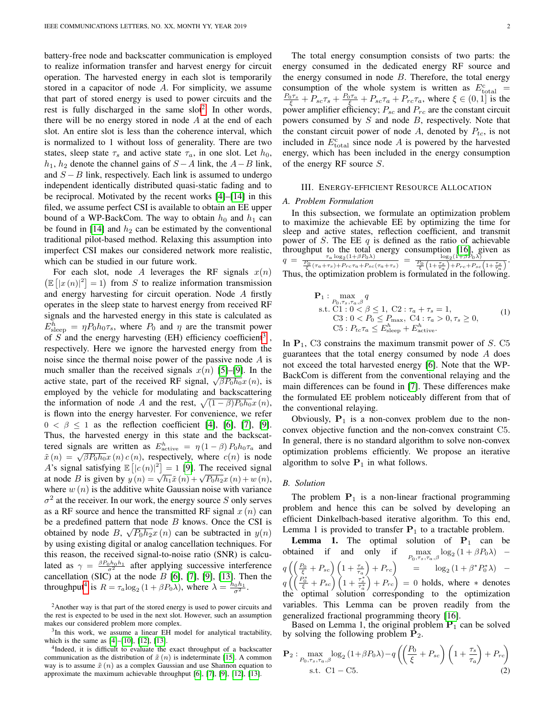battery-free node and backscatter communication is employed to realize information transfer and harvest energy for circuit operation. The harvested energy in each slot is temporarily stored in a capacitor of node A. For simplicity, we assume that part of stored energy is used to power circuits and the rest is fully discharged in the same  $slot<sup>2</sup>$  $slot<sup>2</sup>$  $slot<sup>2</sup>$ . In other words, there will be no energy stored in node  $A$  at the end of each slot. An entire slot is less than the coherence interval, which is normalized to 1 without loss of generality. There are two states, sleep state  $\tau_s$  and active state  $\tau_a$ , in one slot. Let  $h_0$ ,  $h_1$ ,  $h_2$  denote the channel gains of  $S - A$  link, the  $A - B$  link, and  $S - B$  link, respectively. Each link is assumed to undergo independent identically distributed quasi-static fading and to be reciprocal. Motivated by the recent works [\[4\]](#page-3-3)–[\[14\]](#page-4-2) in this filed, we assume perfect CSI is available to obtain an EE upper bound of a WP-BackCom. The way to obtain  $h_0$  and  $h_1$  can be found in [\[14\]](#page-4-2) and  $h_2$  can be estimated by the conventional traditional pilot-based method. Relaxing this assumption into imperfect CSI makes our considered network more realistic, which can be studied in our future work.

For each slot, node A leverages the RF signals  $x(n)$  $(\mathbb{E} \left[ |x(n)|^2 \right] = 1)$  from S to realize information transmission and energy harvesting for circuit operation. Node A firstly operates in the sleep state to harvest energy from received RF signals and the harvested energy in this state is calculated as  $E_{\text{sleep}}^h = \eta P_0 h_0 \tau_s$ , where  $P_0$  and  $\eta$  are the transmit power of  $S$  and the energy harvesting (EH) efficiency coefficient<sup>[3](#page-1-1)</sup>, respectively. Here we ignore the harvested energy from the noise since the thermal noise power of the passive node A is much smaller than the received signals  $x(n)$  [\[5\]](#page-3-4)–[\[9\]](#page-3-8). In the active state, part of the received RF signal,  $\sqrt{\beta P_0 h_0} x(n)$ , is employed by the vehicle for modulating and backscattering the information of node A and the rest,  $\sqrt{(1 - \beta)P_0h_0}x(n)$ , is flown into the energy harvester. For convenience, we refer  $0 < \beta \leq 1$  as the reflection coefficient [\[4\]](#page-3-3), [\[6\]](#page-3-5), [\[7\]](#page-3-6), [\[9\]](#page-3-8). Thus, the harvested energy in this state and the backscattered signals are written as  $E_{\text{active}}^h = \eta (1 - \beta) P_0 h_0 \tau_a$  and  $\tilde{x}(n) = \sqrt{\beta P_0 h_0} x(n) c(n)$ , respectively, where  $c(n)$  is node A's signal satisfying  $\mathbb{E}[|c(n)|^2] = 1$  [\[9\]](#page-3-8). The received signal A s signal satisfying  $\mathbb{E} \left[ \left[ C(n) \right] \right] = 1$  [9]. The received signal at node B is given by  $y(n) = \sqrt{h_1} \tilde{x}(n) + \sqrt{P_0 h_2} x(n) + w(n)$ , where  $w(n)$  is the additive white Gaussian noise with variance  $\sigma^2$  at the receiver. In our work, the energy source S only serves as a RF source and hence the transmitted RF signal  $x(n)$  can be a predefined pattern that node  $B$  knows. Once the CSI is obtained by node B,  $\sqrt{P_0 h_2} x(n)$  can be subtracted in  $y(n)$ by using existing digital or analog cancellation techniques. For this reason, the received signal-to-noise ratio (SNR) is calculated as  $\gamma = \frac{\beta P_0 h_0 h_1}{\sigma^2}$  after applying successive interference cancellation (SIC) at the node  $B$  [\[6\]](#page-3-5), [\[7\]](#page-3-6), [\[9\]](#page-3-8), [\[13\]](#page-4-1). Then the throughput<sup>[4](#page-1-2)</sup> is  $R = \tau_a \log_2 \left(1 + \beta P_0 \lambda\right)$ , where  $\lambda = \frac{h_0 h_1}{\sigma^2}$ .

The total energy consumption consists of two parts: the energy consumed in the dedicated energy RF source and the energy consumed in node  $B$ . Therefore, the total energy consumption of the whole system is written as  $E_{\text{total}}^{\text{c}}$  =  $\frac{P_0\tau_s}{\xi}+P_{sc}\tau_s+\frac{P_0\tau_a}{\xi}+P_{sc}\tau_a+P_{rc}\tau_a$ , where  $\xi\in(0,1]$  is the power amplifier efficiency;  $P_{sc}$  and  $P_{rc}$  are the constant circuit powers consumed by  $S$  and node  $B$ , respectively. Note that the constant circuit power of node A, denoted by  $P_{tc}$ , is not included in  $E_{\text{total}}^{\text{c}}$  since node A is powered by the harvested energy, which has been included in the energy consumption of the energy RF source  $S$ .

#### III. ENERGY-EFFICIENT RESOURCE ALLOCATION

#### *A. Problem Formulation*

In this subsection, we formulate an optimization problem to maximize the achievable EE by optimizing the time for sleep and active states, reflection coefficient, and transmit power of S. The EE  $q$  is defined as the ratio of achievable throughput to the total energy consumption [\[16\]](#page-4-4), given as  $q =$  $\frac{F_0}{\frac{P_0}{\xi}\left(\tau_a+\tau_s\right)+Prc\tau_a+P_{sc}(\tau_a+\tau_s)}=\frac{\log_2(1+\beta P_0\lambda)}{\frac{P_0}{\xi}\left(1+\frac{\tau_s}{\tau_a}\right)+Prc+P_{sc}\left(1+\frac{\tau_s}{\tau_a}\right)}.$ Thus, the optimization problem is formulated in the following.

<span id="page-1-3"></span>
$$
\mathbf{P}_{1}: \max_{P_{0}, \tau_{s}, \tau_{a}, \beta} q
$$
  
s.t. C1 : 0  $\leq \beta \leq 1$ , C2 :  $\tau_{a} + \tau_{s} = 1$ ,  
C3 : 0  $\leq P_{0} \leq P_{\text{max}}$ , C4 :  $\tau_{a} > 0$ ,  $\tau_{s} \geq 0$ ,  
C5 :  $P_{tc}\tau_{a} \leq E_{\text{sleep}}^h + E_{\text{active}}^h$ . (1)

In  $P_1$ , C3 constrains the maximum transmit power of S. C5 guarantees that the total energy consumed by node A does not exceed the total harvested energy [\[6\]](#page-3-5). Note that the WP-BackCom is different from the conventional relaying and the main differences can be found in [\[7\]](#page-3-6). These differences make the formulated EE problem noticeably different from that of the conventional relaying.

Obviously,  $P_1$  is a non-convex problem due to the nonconvex objective function and the non-convex constraint C5. In general, there is no standard algorithm to solve non-convex optimization problems efficiently. We propose an iterative algorithm to solve  $P_1$  in what follows.

### *B. Solution*

The problem  $P_1$  is a non-linear fractional programming problem and hence this can be solved by developing an efficient Dinkelbach-based iterative algorithm. To this end, Lemma 1 is provided to transfer  $P_1$  to a tractable problem.

**Lemma 1.** The optimal solution of  $P_1$  can be obtained if and only if  $\max_{P_0,\tau_s,\tau_a,\beta} \log_2(1+\beta P_0\lambda)$  –  $q\left(\left(\frac{P_0}{\xi}+P_{sc}\right)\left(1+\frac{\tau_s}{\tau_a}\right)+P_{rc}\right)$  =  $\log_2\left(1+\beta^*P_0^*\lambda\right)$  –  $q\left(\left(\frac{P_0^*}{\xi}+P_{sc}\right)\left(1+\frac{\tau_s^*}{\tau_a^*}\right)+P_{rc}\right) = 0$  holds, where  $*$  denotes the optimal solution corresponding to the optimization variables. This Lemma can be proven readily from the generalized fractional programming theory [\[16\]](#page-4-4).

Based on Lemma 1, the original problem  $P_1$  can be solved by solving the following problem  $P_2$ .

$$
\mathbf{P}_2: \max_{P_0, \tau_s, \tau_a, \beta} \log_2\left(1 + \beta P_0 \lambda\right) - q \left( \left(\frac{P_0}{\xi} + P_{sc}\right) \left(1 + \frac{\tau_s}{\tau_a}\right) + P_{rc} \right) \text{ s.t. C1 } - \text{C5.}
$$

<span id="page-1-0"></span><sup>&</sup>lt;sup>2</sup>Another way is that part of the stored energy is used to power circuits and the rest is expected to be used in the next slot. However, such an assumption makes our considered problem more complex.

<span id="page-1-1"></span><sup>&</sup>lt;sup>3</sup>In this work, we assume a linear EH model for analytical tractability, which is the same as [\[4\]](#page-3-3)–[\[10\]](#page-3-9), [\[12\]](#page-4-0), [\[13\]](#page-4-1).

<span id="page-1-2"></span><sup>&</sup>lt;sup>4</sup>Indeed, it is difficult to evaluate the exact throughput of a backscatter communication as the distribution of  $\tilde{x}(n)$  is indeterminate [\[15\]](#page-4-3). A common way is to assume  $\tilde{x}(n)$  as a complex Gaussian and use Shannon equation to approximate the maximum achievable throughput [\[6\]](#page-3-5), [\[7\]](#page-3-6), [\[9\]](#page-3-8), [\[12\]](#page-4-0), [\[13\]](#page-4-1).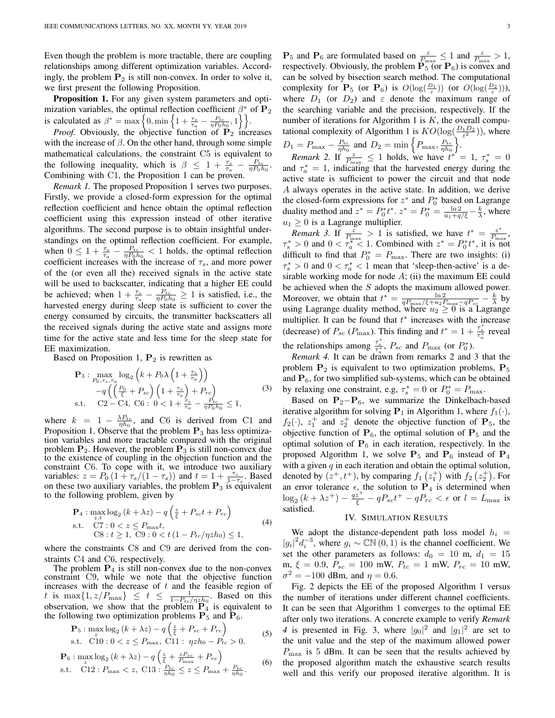Even though the problem is more tractable, there are coupling relationships among different optimization variables. Accordingly, the problem  $P_2$  is still non-convex. In order to solve it, we first present the following Proposition.

Proposition 1. For any given system parameters and optimization variables, the optimal reflection coefficient  $\beta^*$  of  $P_2$ is calculated as  $\beta^* = \max\left\{0, \min\left\{1 + \frac{\tau_s}{\tau_a} - \frac{P_{tc}}{\eta P_0 h_0}, 1\right\}\right\}.$ 

*Proof.* Obviously, the objective function of  $\mathbf{P}_2$  increases with the increase of  $\beta$ . On the other hand, through some simple mathematical calculations, the constraint C5 is equivalent to the following inequality, which is  $\beta \leq 1 + \frac{\tau_s}{\tau_a} - \frac{P_{tc}}{\eta P_0 h_0}$ . Combining with C1, the Proposition 1 can be proven.

*Remark 1.* The proposed Proposition 1 serves two purposes. Firstly, we provide a closed-form expression for the optimal reflection coefficient and hence obtain the optimal reflection coefficient using this expression instead of other iterative algorithms. The second purpose is to obtain insightful understandings on the optimal reflection coefficient. For example, when  $0 \leq 1 + \frac{\tau_s}{\tau_a} - \frac{P_{tc}}{\eta P_0 h_0} < 1$  holds, the optimal reflection coefficient increases with the increase of  $\tau_s$ , and more power of the (or even all the) received signals in the active state will be used to backscatter, indicating that a higher EE could be achieved; when  $1 + \frac{\tau_s}{\tau_a} - \frac{P_{tc}}{\eta P_0 h_0} \ge 1$  is satisfied, i.e., the harvested energy during sleep state is sufficient to cover the energy consumed by circuits, the transmitter backscatters all the received signals during the active state and assigns more time for the active state and less time for the sleep state for EE maximization.

Based on Proposition 1,  $P_2$  is rewritten as

$$
\mathbf{P}_3: \max_{P_0, \tau_s, \tau_a} \log_2 \left( k + P_0 \lambda \left( 1 + \frac{\tau_s}{\tau_a} \right) \right) \n-q \left( \left( \frac{P_0}{\xi} + P_{sc} \right) \left( 1 + \frac{\tau_s}{\tau_a} \right) + P_{rc} \right) \ns.t. C2 - C4, C6: 0 < 1 + \frac{\tau_s}{\tau_a} - \frac{P_{tc}}{\eta P_0 h_0} \le 1,
$$
\n
$$
(3)
$$

where  $k = 1 - \frac{\lambda P_{tc}}{\eta h_0}$ , and C6 is derived from C1 and Proposition 1. Observe that the problem  $P_3$  has less optimization variables and more tractable compared with the original problem  $P_2$ . However, the problem  $P_3$  is still non-convex due to the existence of coupling in the objection function and the constraint C6. To cope with it, we introduce two auxiliary variables:  $z = P_0 \left(1 + \tau_s / (1 - \tau_s)\right)$  and  $t = 1 + \frac{\tau_s}{1 - \tau_s}$ . Based on these two auxiliary variables, the problem  $P_3$  is equivalent to the following problem, given by

$$
\mathbf{P}_4: \max_{z,t} \log_2 (k + \lambda z) - q \left( \frac{z}{\xi} + P_{sc}t + P_{rc} \right)
$$
  
s.t. 
$$
\text{C7: } 0 < z \le P_{\text{max}} t,
$$
  

$$
\text{C8: } t \ge 1, \text{ C9: } 0 < t \left( 1 - P_{tc} / \eta z h_0 \right) \le 1,
$$
\n
$$
(4)
$$

where the constraints C8 and C9 are derived from the constraints C4 and C6, respectively.

The problem  $P_4$  is still non-convex due to the non-convex constraint C9, while we note that the objective function increases with the decrease of  $t$  and the feasible region of t is max $\{1, z/P_{\text{max}}\}\leq t \leq \frac{1}{1-P_{tc}/\eta z h_0}$ . Based on this observation, we show that the problem  $P_4$  is equivalent to the following two optimization problems  $\overline{P_5}$  and  $\overline{P_6}$ .

$$
\mathbf{P}_5: \max_{\tilde{c}} \log_2 (k + \lambda z) - q \left( \frac{z}{\xi} + P_{sc} + P_{rc} \right) \text{s.t. } \tilde{C10}: 0 < z \le P_{\text{max}}, \text{ C11}: \eta z h_0 - P_{tc} > 0.
$$
 (5)

$$
\mathbf{P}_6: \max_z \log_2 \left(k + \lambda z\right) - q \left(\frac{z}{\xi} + \frac{zP_{sc}}{P_{\text{max}}} + P_{rc}\right) \text{s.t.} \quad \text{C12}: P_{\text{max}} < z, \text{ C13}: \frac{P_{tc}}{\eta h_0} \le z \le P_{\text{max}} + \frac{P_{tc}}{\eta h_0}.
$$
\n(6)

 $\mathbf{P}_5$  and  $\mathbf{P}_6$  are formulated based on  $\frac{z}{P_{\text{max}}} \leq 1$  and  $\frac{z}{P_{\text{max}}} > 1$ , respectively. Obviously, the problem  $\overline{P_5}$  (or  $P_6$ ) is convex and can be solved by bisection search method. The computational complexity for  $\mathbf{P}_5$  (or  $\mathbf{P}_6$ ) is  $O(\log(\frac{D_1}{\varepsilon}))$  (or  $O(\log(\frac{D_2}{\varepsilon})))$ , where  $D_1$  (or  $D_2$ ) and  $\varepsilon$  denote the maximum range of the searching variable and the precision, respectively. If the number of iterations for Algorithm 1 is  $K$ , the overall computational complexity of Algorithm 1 is  $KO(\log(\frac{D_1 D_2}{\varepsilon^2}))$ , where  $D_1 = P_{\text{max}} - \frac{P_{tc}}{\eta h_0}$  and  $D_2 = \min \left\{ P_{\text{max}}, \frac{P_{tc}}{\eta h_0} \right\}.$ 

*Remark 2.* If  $\frac{z}{P_{\text{max}}} \le 1$  holds, we have  $t^* = 1, \tau_s^* = 0$ and  $\tau_a^* = 1$ , indicating that the harvested energy during the active state is sufficient to power the circuit and that node A always operates in the active state. In addition, we derive the closed-form expressions for  $z^*$  and  $P_0^*$  based on Lagrange duality method and  $z^* = P_0^* t^*$ .  $z^* = P_0^* = \frac{\ln 2}{u_1 + q/\xi} - \frac{k}{\lambda}$ , where  $u_1 \geq 0$  is a Lagrange multiplier.

*Remark 3.* If  $\frac{z}{P_{\text{max}}} > 1$  is satisfied, we have  $t^* = \frac{z^*}{P_{\text{max}}}$  $\frac{z}{P_{\max}},$  $\tau_s^* > 0$  and  $0 < \tau_a^* < 1$ . Combined with  $z^* = P_0^* t^*$ , it is not difficult to find that  $P_0^* = P_{\text{max}}$ . There are two insights: (i)  $\tau_s^* > 0$  and  $0 < \tau_a^* < 1$  mean that 'sleep-then-active' is a desirable working mode for node  $A$ ; (ii) the maximum EE could be achieved when the  $S$  adopts the maximum allowed power. Moreover, we obtain that  $t^* = \frac{\ln 2}{qP_{\text{max}}/\xi + u_2P_{\text{max}} - qP_{sc}} - \frac{k}{\lambda}$  by using Lagrange duality method, where  $u_2 \geq 0$  is a Lagrange multiplier. It can be found that  $t^*$  increases with the increase (decrease) of  $P_{sc}$  ( $P_{\text{max}}$ ). This finding and  $t^* = 1 + \frac{\tau_s^*}{\tau_a^*}$  reveal the relationships among  $\frac{\tau_s^*}{\tau_a^*}$ ,  $P_{sc}$  and  $P_{\text{max}}$  (or  $P_0^*$ ).

*Remark 4.* It can be drawn from remarks 2 and 3 that the problem  $P_2$  is equivalent to two optimization problems,  $P_5$ and  $P_6$ , for two simplified sub-systems, which can be obtained by relaxing one constraint, e.g,  $\tau_s^* = 0$  or  $P_0^* = P_{\text{max}}$ .

Based on  $P_2-P_6$ , we summarize the Dinkelbach-based iterative algorithm for solving  $P_1$  in Algorithm 1, where  $f_1(\cdot)$ ,  $f_2(\cdot)$ ,  $z_1^+$  and  $z_2^+$  denote the objective function of  $P_5$ , the objective function of  $P_6$ , the optimal solution of  $P_5$  and the optimal solution of  $P_6$  in each iteration, respectively. In the proposed Algorithm 1, we solve  $P_5$  and  $P_6$  instead of  $P_4$ with a given  $q$  in each iteration and obtain the optimal solution, denoted by  $(z^+, t^+)$ , by comparing  $f_1(z_1^+)$  with  $f_2(z_2^+)$ . For an error tolerance  $\epsilon$ , the solution to  $P_4$  is determined when  $\log_2(k + \lambda z^+) - \frac{qz^+}{\xi} - qP_{sc}t^+ - qP_{rc} < \epsilon$  or  $l = L_{\text{max}}$  is satisfied.

# IV. SIMULATION RESULTS

We adopt the distance-dependent path loss model  $h_i$  =  $|g_i|^2 d_i^{-3}$ , where  $g_i \sim \mathbb{CN}(0, 1)$  is the channel coefficient. We set the other parameters as follows:  $d_0 = 10$  m,  $d_1 = 15$ m,  $\xi = 0.9$ ,  $P_{sc} = 100$  mW,  $P_{tc} = 1$  mW,  $P_{rc} = 10$  mW,  $\sigma^2 = -100$  dBm, and  $\eta = 0.6$ .

<span id="page-2-1"></span><span id="page-2-0"></span>Fig. 2 depicts the EE of the proposed Algorithm 1 versus the number of iterations under different channel coefficients. It can be seen that Algorithm 1 converges to the optimal EE after only two iterations. A concrete example to verify *Remark* 4 is presented in Fig. 3, where  $|g_0|^2$  and  $|g_1|^2$  are set to the unit value and the step of the maximum allowed power  $P_{\text{max}}$  is 5 dBm. It can be seen that the results achieved by the proposed algorithm match the exhaustive search results well and this verify our proposed iterative algorithm. It is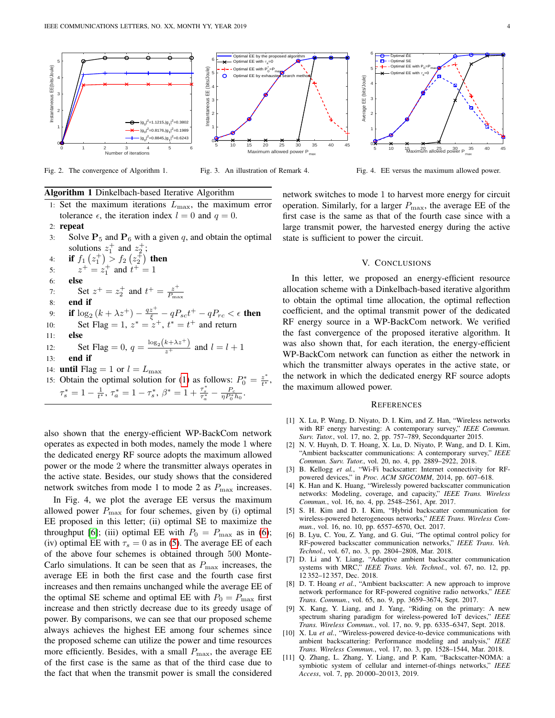

Fig. 2. The convergence of Algorithm 1.

Fig. 3. An illustration of Remark 4.

Fig. 4. EE versus the maximum allowed power.

# Algorithm 1 Dinkelbach-based Iterative Algorithm

1: Set the maximum iterations  $L_{\text{max}}$ , the maximum error tolerance  $\epsilon$ , the iteration index  $l = 0$  and  $q = 0$ . 2: repeat 3: Solve  $P_5$  and  $P_6$  with a given q, and obtain the optimal

solutions  $z_1^+$  and  $z_2^+$ ;

4: **if**  $f_1(z_1^+) > f_2(z_2^+)$  then 5:  $z^+ = z_1^+$  and  $t^+ = 1$ 6: else 7: Set  $z^+ = z_2^+$  and  $t^+ = \frac{z^+}{P_{\text{max}}}$  $P_{\rm max}$ 

8: end if

# 9: **if**  $\log_2{(k + \lambda z^+) - \frac{q z^+}{\xi}} - q P_{sc} t^+ - q P_{rc} < \epsilon$  **then**

- 10: Set Flag = 1,  $z^* = z^+$ ,  $t^* = t^+$  and return
- 11: else

12: Set Flag = 0, 
$$
q = \frac{\log_2 (k + \lambda z^{+})}{z^{+}}
$$
 and  $l = l + 1$   
13: end if

- 
- 14: **until** Flag = 1 or  $l = L_{\text{max}}$
- 15: Obtain the optimal solution for [\(1\)](#page-1-3) as follows:  $P_0^* = \frac{z^*}{t^*}$  $\frac{z}{t^*},$  $\tau_s^* = 1 - \frac{1}{t^*}, \tau_a^* = 1 - \tau_s^*, \ \beta^* = 1 + \frac{\tau_s^*}{\tau_a^*} - \frac{P_c}{\eta P_0^* h_0}.$

also shown that the energy-efficient WP-BackCom network operates as expected in both modes, namely the mode 1 where the dedicated energy RF source adopts the maximum allowed power or the mode 2 where the transmitter always operates in the active state. Besides, our study shows that the considered network switches from mode 1 to mode 2 as  $P_{\text{max}}$  increases.

In Fig. 4, we plot the average EE versus the maximum allowed power  $P_{\text{max}}$  for four schemes, given by (i) optimal EE proposed in this letter; (ii) optimal SE to maximize the throughput [\[6\]](#page-3-5); (iii) optimal EE with  $P_0 = P_{\text{max}}$  as in [\(6\)](#page-2-0); (iv) optimal EE with  $\tau_s = 0$  as in [\(5\)](#page-2-1). The average EE of each of the above four schemes is obtained through 500 Monte-Carlo simulations. It can be seen that as  $P_{\text{max}}$  increases, the average EE in both the first case and the fourth case first increases and then remains unchanged while the average EE of the optimal SE scheme and optimal EE with  $P_0 = P_{\text{max}}$  first increase and then strictly decrease due to its greedy usage of power. By comparisons, we can see that our proposed scheme always achieves the highest EE among four schemes since the proposed scheme can utilize the power and time resources more efficiently. Besides, with a small  $P_{\text{max}}$ , the average EE of the first case is the same as that of the third case due to the fact that when the transmit power is small the considered

network switches to mode 1 to harvest more energy for circuit operation. Similarly, for a larger  $P_{\text{max}}$ , the average EE of the first case is the same as that of the fourth case since with a large transmit power, the harvested energy during the active state is sufficient to power the circuit.

## V. CONCLUSIONS

In this letter, we proposed an energy-efficient resource allocation scheme with a Dinkelbach-based iterative algorithm to obtain the optimal time allocation, the optimal reflection coefficient, and the optimal transmit power of the dedicated RF energy source in a WP-BackCom network. We verified the fast convergence of the proposed iterative algorithm. It was also shown that, for each iteration, the energy-efficient WP-BackCom network can function as either the network in which the transmitter always operates in the active state, or the network in which the dedicated energy RF source adopts the maximum allowed power.

#### **REFERENCES**

- <span id="page-3-0"></span>[1] X. Lu, P. Wang, D. Niyato, D. I. Kim, and Z. Han, "Wireless networks with RF energy harvesting: A contemporary survey," *IEEE Commun. Surv. Tutor.*, vol. 17, no. 2, pp. 757–789, Secondquarter 2015.
- <span id="page-3-1"></span>[2] N. V. Huynh, D. T. Hoang, X. Lu, D. Niyato, P. Wang, and D. I. Kim, "Ambient backscatter communications: A contemporary survey," *IEEE Commun. Surv. Tutor.*, vol. 20, no. 4, pp. 2889–2922, 2018.
- <span id="page-3-2"></span>[3] B. Kellogg et al., "Wi-Fi backscatter: Internet connectivity for RFpowered devices," in *Proc. ACM SIGCOMM*, 2014, pp. 607–618.
- <span id="page-3-3"></span>[4] K. Han and K. Huang, "Wirelessly powered backscatter communication networks: Modeling, coverage, and capacity," *IEEE Trans. Wireless Commun.*, vol. 16, no. 4, pp. 2548–2561, Apr. 2017.
- <span id="page-3-4"></span>[5] S. H. Kim and D. I. Kim, "Hybrid backscatter communication for wireless-powered heterogeneous networks," *IEEE Trans. Wireless Commun.*, vol. 16, no. 10, pp. 6557–6570, Oct. 2017.
- <span id="page-3-5"></span>[6] B. Lyu, C. You, Z. Yang, and G. Gui, "The optimal control policy for RF-powered backscatter communication networks," *IEEE Trans. Veh. Technol.*, vol. 67, no. 3, pp. 2804–2808, Mar. 2018.
- <span id="page-3-6"></span>[7] D. Li and Y. Liang, "Adaptive ambient backscatter communication systems with MRC," *IEEE Trans. Veh. Technol.*, vol. 67, no. 12, pp. 12 352–12 357, Dec. 2018.
- <span id="page-3-7"></span>[8] D. T. Hoang *et al.*, "Ambient backscatter: A new approach to improve network performance for RF-powered cognitive radio networks," *IEEE Trans. Commun.*, vol. 65, no. 9, pp. 3659–3674, Sept. 2017.
- <span id="page-3-8"></span>[9] X. Kang, Y. Liang, and J. Yang, "Riding on the primary: A new spectrum sharing paradigm for wireless-powered IoT devices," *IEEE Trans. Wireless Commun.*, vol. 17, no. 9, pp. 6335–6347, Sept. 2018.
- <span id="page-3-9"></span>[10] X. Lu et al., "Wireless-powered device-to-device communications with ambient backscattering: Performance modeling and analysis," *IEEE Trans. Wireless Commun.*, vol. 17, no. 3, pp. 1528–1544, Mar. 2018.
- <span id="page-3-10"></span>[11] Q. Zhang, L. Zhang, Y. Liang, and P. Kam, "Backscatter-NOMA: a symbiotic system of cellular and internet-of-things networks," *IEEE Access*, vol. 7, pp. 20 000–20 013, 2019.